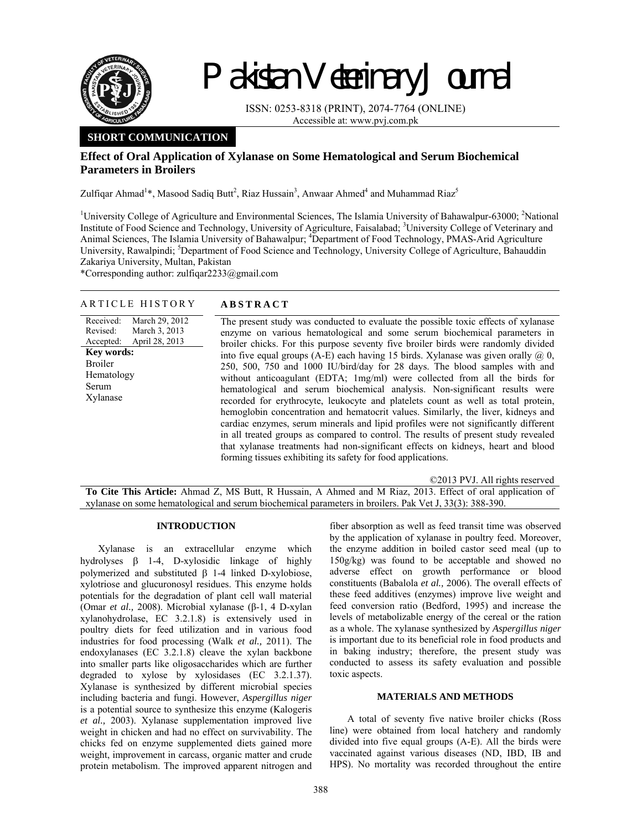

# Pakistan Veterinary Journal

ISSN: 0253-8318 (PRINT), 2074-7764 (ONLINE) Accessible at: www.pvj.com.pk

# **SHORT COMMUNICATION**

# **Effect of Oral Application of Xylanase on Some Hematological and Serum Biochemical Parameters in Broilers**

Zulfiqar Ahmad<sup>1</sup>\*, Masood Sadiq Butt<sup>2</sup>, Riaz Hussain<sup>3</sup>, Anwaar Ahmed<sup>4</sup> and Muhammad Riaz<sup>5</sup>

<sup>1</sup>University College of Agriculture and Environmental Sciences, The Islamia University of Bahawalpur-63000; <sup>2</sup>National Institute of Food Science and Technology, University of Agriculture, Faisalabad; <sup>3</sup>University College of Veterinary and Animal Sciences, The Islamia University of Bahawalpur; <sup>4</sup>Department of Food Technology, PMAS-Arid Agriculture University, Rawalpindi; <sup>5</sup>Department of Food Science and Technology, University College of Agriculture, Bahauddin Zakariya University, Multan, Pakistan

\*Corresponding author: zulfiqar2233@gmail.com

## ARTICLE HISTORY **ABSTRACT**

### Received: Revised: Accepted: March 29, 2012 March 3, 2013 April 28, 2013 **Key words:**  Broiler Hematology Serum Xylanase

The present study was conducted to evaluate the possible toxic effects of xylanase enzyme on various hematological and some serum biochemical parameters in broiler chicks. For this purpose seventy five broiler birds were randomly divided into five equal groups (A-E) each having 15 birds. Xylanase was given orally  $(2, 0, 1)$ 250, 500, 750 and 1000 IU/bird/day for 28 days. The blood samples with and without anticoagulant (EDTA; 1mg/ml) were collected from all the birds for hematological and serum biochemical analysis. Non-significant results were recorded for erythrocyte, leukocyte and platelets count as well as total protein, hemoglobin concentration and hematocrit values. Similarly, the liver, kidneys and cardiac enzymes, serum minerals and lipid profiles were not significantly different in all treated groups as compared to control. The results of present study revealed that xylanase treatments had non-significant effects on kidneys, heart and blood forming tissues exhibiting its safety for food applications.

©2013 PVJ. All rights reserved

**To Cite This Article:** Ahmad Z, MS Butt, R Hussain, A Ahmed and M Riaz, 2013. Effect of oral application of xylanase on some hematological and serum biochemical parameters in broilers. Pak Vet J, 33(3): 388-390.

# **INTRODUCTION**

Xylanase is an extracellular enzyme which hydrolyses β 1-4, D-xylosidic linkage of highly polymerized and substituted β 1-4 linked D-xylobiose, xylotriose and glucuronosyl residues. This enzyme holds potentials for the degradation of plant cell wall material (Omar *et al.,* 2008). Microbial xylanase (β-1, 4 D-xylan xylanohydrolase, EC 3.2.1.8) is extensively used in poultry diets for feed utilization and in various food industries for food processing (Walk *et al.,* 2011). The endoxylanases (EC 3.2.1.8) cleave the xylan backbone into smaller parts like oligosaccharides which are further degraded to xylose by xylosidases (EC 3.2.1.37). Xylanase is synthesized by different microbial species including bacteria and fungi. However, *Aspergillus niger*  is a potential source to synthesize this enzyme (Kalogeris *et al.,* 2003). Xylanase supplementation improved live weight in chicken and had no effect on survivability. The chicks fed on enzyme supplemented diets gained more weight, improvement in carcass, organic matter and crude protein metabolism. The improved apparent nitrogen and

fiber absorption as well as feed transit time was observed by the application of xylanase in poultry feed. Moreover, the enzyme addition in boiled castor seed meal (up to 150g/kg) was found to be acceptable and showed no adverse effect on growth performance or blood constituents (Babalola *et al.,* 2006). The overall effects of these feed additives (enzymes) improve live weight and feed conversion ratio (Bedford, 1995) and increase the levels of metabolizable energy of the cereal or the ration as a whole. The xylanase synthesized by *Aspergillus niger* is important due to its beneficial role in food products and in baking industry; therefore, the present study was conducted to assess its safety evaluation and possible toxic aspects.

# **MATERIALS AND METHODS**

A total of seventy five native broiler chicks (Ross line) were obtained from local hatchery and randomly divided into five equal groups (A-E). All the birds were vaccinated against various diseases (ND, IBD, IB and HPS). No mortality was recorded throughout the entire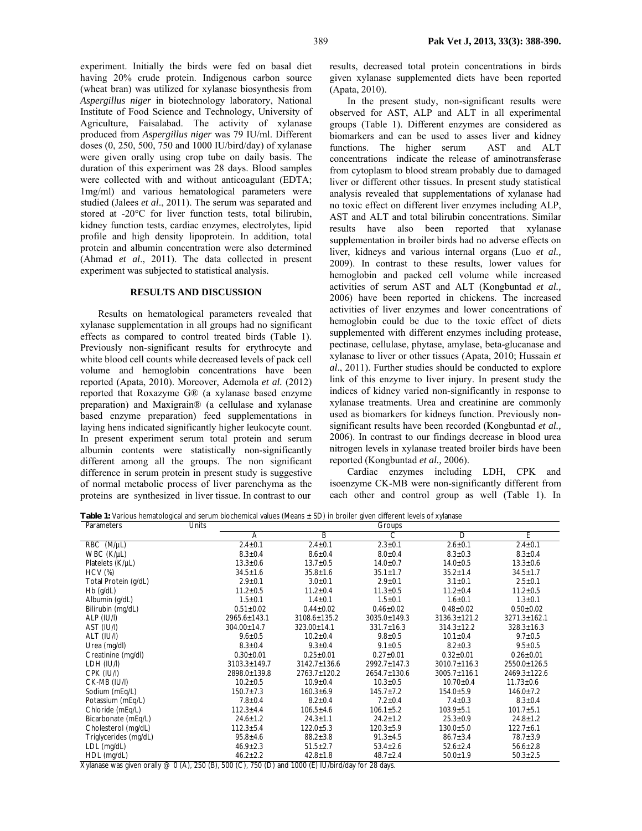experiment. Initially the birds were fed on basal diet having 20% crude protein. Indigenous carbon source (wheat bran) was utilized for xylanase biosynthesis from *Aspergillus niger* in biotechnology laboratory, National Institute of Food Science and Technology, University of Agriculture, Faisalabad. The activity of xylanase produced from *Aspergillus niger* was 79 IU/ml. Different doses (0, 250, 500, 750 and 1000 IU/bird/day) of xylanase were given orally using crop tube on daily basis. The duration of this experiment was 28 days. Blood samples were collected with and without anticoagulant (EDTA; 1mg/ml) and various hematological parameters were studied (Jalees *et al*., 2011). The serum was separated and stored at -20°C for liver function tests, total bilirubin, kidney function tests, cardiac enzymes, electrolytes, lipid profile and high density lipoprotein. In addition, total protein and albumin concentration were also determined (Ahmad *et al*., 2011). The data collected in present experiment was subjected to statistical analysis.

# **RESULTS AND DISCUSSION**

Results on hematological parameters revealed that xylanase supplementation in all groups had no significant effects as compared to control treated birds (Table 1). Previously non-significant results for erythrocyte and white blood cell counts while decreased levels of pack cell volume and hemoglobin concentrations have been reported (Apata, 2010). Moreover, Ademola *et al.* (2012) reported that Roxazyme G® (a xylanase based enzyme preparation) and Maxigrain® (a cellulase and xylanase based enzyme preparation) feed supplementations in laying hens indicated significantly higher leukocyte count. In present experiment serum total protein and serum albumin contents were statistically non-significantly different among all the groups. The non significant difference in serum protein in present study is suggestive of normal metabolic process of liver parenchyma as the proteins are synthesized in liver tissue. In contrast to our

results, decreased total protein concentrations in birds given xylanase supplemented diets have been reported (Apata, 2010).

In the present study, non-significant results were observed for AST, ALP and ALT in all experimental groups (Table 1). Different enzymes are considered as biomarkers and can be used to asses liver and kidney functions. The higher serum AST and ALT concentrations indicate the release of aminotransferase from cytoplasm to blood stream probably due to damaged liver or different other tissues. In present study statistical analysis revealed that supplementations of xylanase had no toxic effect on different liver enzymes including ALP, AST and ALT and total bilirubin concentrations. Similar results have also been reported that xylanase supplementation in broiler birds had no adverse effects on liver, kidneys and various internal organs (Luo *et al.,* 2009). In contrast to these results, lower values for hemoglobin and packed cell volume while increased activities of serum AST and ALT (Kongbuntad *et al.,* 2006) have been reported in chickens. The increased activities of liver enzymes and lower concentrations of hemoglobin could be due to the toxic effect of diets supplemented with different enzymes including protease, pectinase, cellulase, phytase, amylase, beta-glucanase and xylanase to liver or other tissues (Apata, 2010; Hussain *et al*., 2011). Further studies should be conducted to explore link of this enzyme to liver injury. In present study the indices of kidney varied non-significantly in response to xylanase treatments. Urea and creatinine are commonly used as biomarkers for kidneys function. Previously nonsignificant results have been recorded (Kongbuntad *et al.,* 2006). In contrast to our findings decrease in blood urea nitrogen levels in xylanase treated broiler birds have been reported (Kongbuntad *et al.,* 2006).

Cardiac enzymes including LDH, CPK and isoenzyme CK-MB were non-significantly different from each other and control group as well (Table 1). In

**Table 1:** Various hematological and serum biochemical values (Means ± SD) in broiler given different levels of xylanase

| Parameters            | Units |                    |                    | Groups           |                    |                    |
|-----------------------|-------|--------------------|--------------------|------------------|--------------------|--------------------|
|                       |       | A                  | B                  | C                | D                  | E                  |
| RBC (M/µL)            |       | $2.4 \pm 0.1$      | $2.4 \pm 0.1$      | $2.3 \pm 0.1$    | $2.6 \pm 0.1$      | $2.4 \pm 0.1$      |
| WBC (K/µL)            |       | $8.3 \pm 0.4$      | $8.6 \pm 0.4$      | $8.0 \pm 0.4$    | $8.3 \pm 0.3$      | $8.3 \pm 0.4$      |
| Platelets (K/µL)      |       | $13.3 \pm 0.6$     | $13.7 \pm 0.5$     | $14.0 \pm 0.7$   | $14.0 \pm 0.5$     | $13.3 \pm 0.6$     |
| <b>HCV</b> (%)        |       | $34.5 \pm 1.6$     | $35.8 \pm 1.6$     | $35.1 \pm 1.7$   | $35.2 \pm 1.4$     | $34.5 \pm 1.7$     |
| Total Protein (g/dL)  |       | $2.9 \pm 0.1$      | $3.0 + 0.1$        | $2.9 \pm 0.1$    | $3.1 \pm 0.1$      | $2.5 \pm 0.1$      |
| $Hb$ (g/dL)           |       | $11.2 \pm 0.5$     | $11.2 \pm 0.4$     | $11.3 \pm 0.5$   | $11.2 \pm 0.4$     | $11.2 \pm 0.5$     |
| Albumin (g/dL)        |       | $1.5 \pm 0.1$      | $1.4 \pm 0.1$      | $1.5 + 0.1$      | $1.6 \pm 0.1$      | $1.3 + 0.1$        |
| Bilirubin (mg/dL)     |       | $0.51 \pm 0.02$    | $0.44 \pm 0.02$    | $0.46 \pm 0.02$  | $0.48 \pm 0.02$    | $0.50 \pm 0.02$    |
| ALP (IU/I)            |       | 2965.6±143.1       | 3108.6±135.2       | 3035.0±149.3     | $3136.3 \pm 121.2$ | $3271.3 \pm 162.1$ |
| AST (IU/I)            |       | 304.00±14.7        | 323.00±14.1        | $331.7 \pm 16.3$ | $314.3 \pm 12.2$   | $328.3 \pm 16.3$   |
| ALT (IU/I)            |       | $9.6 \pm 0.5$      | $10.2 \pm 0.4$     | $9.8 \pm 0.5$    | $10.1 \pm 0.4$     | $9.7 \pm 0.5$      |
| Urea (mg/dl)          |       | $8.3 \pm 0.4$      | $9.3 \pm 0.4$      | $9.1 \pm 0.5$    | $8.2 \pm 0.3$      | $9.5 \pm 0.5$      |
| Creatinine (mg/dl)    |       | $0.30 \pm 0.01$    | $0.25 \pm 0.01$    | $0.27 \pm 0.01$  | $0.32 \pm 0.01$    | $0.26 \pm 0.01$    |
| LDH (IU/I)            |       | $3103.3 \pm 149.7$ | $3142.7 \pm 136.6$ | 2992.7±147.3     | $3010.7 \pm 116.3$ | 2550.0±126.5       |
| CPK (IU/I)            |       | 2898.0±139.8       | $2763.7 \pm 120.2$ | 2654.7±130.6     | $3005.7 \pm 116.1$ | 2469.3±122.6       |
| CK-MB (IU/I)          |       | $10.2 \pm 0.5$     | $10.9 \pm 0.4$     | $10.3 \pm 0.5$   | $10.70 \pm 0.4$    | $11.73 \pm 0.6$    |
| Sodium (mEq/L)        |       | $150.7 \pm 7.3$    | $160.3 \pm 6.9$    | $145.7 \pm 7.2$  | $154.0 \pm 5.9$    | $146.0 \pm 7.2$    |
| Potassium (mEg/L)     |       | $7.8 \pm 0.4$      | $8.2 \pm 0.4$      | $7.2 \pm 0.4$    | $7.4 \pm 0.3$      | $8.3 \pm 0.4$      |
| Chloride (mEq/L)      |       | $112.3 \pm 4.4$    | $106.5 \pm 4.6$    | $106.1 \pm 5.2$  | $103.9 + 5.1$      | $101.7 \pm 5.1$    |
| Bicarbonate (mEq/L)   |       | $24.6 \pm 1.2$     | $24.3 \pm 1.1$     | $24.2 \pm 1.2$   | $25.3 \pm 0.9$     | $24.8 \pm 1.2$     |
| Cholesterol (mg/dL)   |       | $112.3 \pm 5.4$    | $122.0 \pm 5.3$    | $120.3 \pm 5.9$  | $130.0 \pm 5.0$    | $122.7 \pm 6.1$    |
| Triglycerides (mg/dL) |       | $95.8 \pm 4.6$     | $88.2 \pm 3.8$     | $91.3 \pm 4.5$   | $86.7 \pm 3.4$     | $78.7 \pm 3.9$     |
| LDL (mg/dL)           |       | $46.9 \pm 2.3$     | $51.5 \pm 2.7$     | $53.4 \pm 2.6$   | $52.6 \pm 2.4$     | $56.6 \pm 2.8$     |
| HDL (mg/dL)           |       | $46.2 \pm 2.2$     | $42.8 \pm 1.8$     | $48.7 \pm 2.4$   | $50.0 \pm 1.9$     | $50.3 \pm 2.5$     |

Xylanase was given orally  $@$  0 (A), 250 (B), 500 (C), 750 (D) and 1000 (E) IU/bird/day for 28 days.